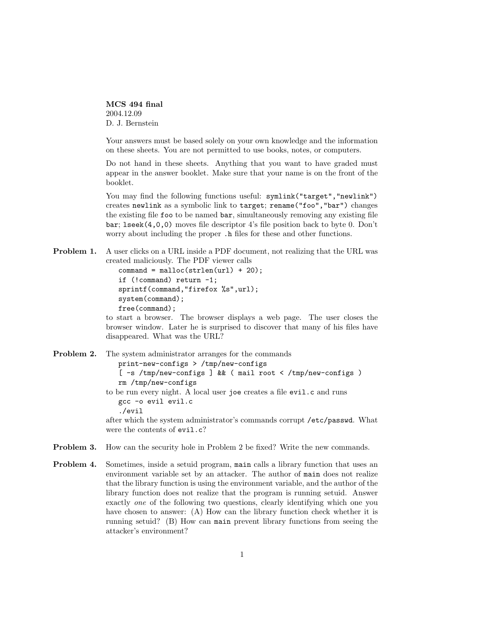MCS 494 final 2004.12.09 D. J. Bernstein

Your answers must be based solely on your own knowledge and the information on these sheets. You are not permitted to use books, notes, or computers.

Do not hand in these sheets. Anything that you want to have graded must appear in the answer booklet. Make sure that your name is on the front of the booklet.

You may find the following functions useful: symlink("target", "newlink") creates newlink as a symbolic link to target; rename("foo","bar") changes the existing file foo to be named bar, simultaneously removing any existing file bar; lseek(4,0,0) moves file descriptor 4's file position back to byte 0. Don't worry about including the proper  $\Delta$ .h files for these and other functions.

**Problem 1.** A user clicks on a URL inside a PDF document, not realizing that the URL was created maliciously. The PDF viewer calls

```
command = <code>mailoc(strlen(url) + 20);</code>if (!command) return -1;
sprintf(command,"firefox %s",url);
system(command);
free(command);
```
to start a browser. The browser displays a web page. The user closes the browser window. Later he is surprised to discover that many of his files have disappeared. What was the URL?

```
Problem 2. The system administrator arranges for the commands
                 print-new-configs > /tmp/new-configs
                 [-s /tmp/news-configs] && (mail root < /tmp/new-configs )
                 rm /tmp/new-configs
             to be run every night. A local user joe creates a file evil.c and runs
                 gcc -o evil evil.c
                 ./evil
             after which the system administrator's commands corrupt /etc/passwd. What
             were the contents of evil.c?
```
- Problem 3. How can the security hole in Problem 2 be fixed? Write the new commands.
- Problem 4. Sometimes, inside a setuid program, main calls a library function that uses an environment variable set by an attacker. The author of main does not realize that the library function is using the environment variable, and the author of the library function does not realize that the program is running setuid. Answer exactly one of the following two questions, clearly identifying which one you have chosen to answer: (A) How can the library function check whether it is running setuid? (B) How can main prevent library functions from seeing the attacker's environment?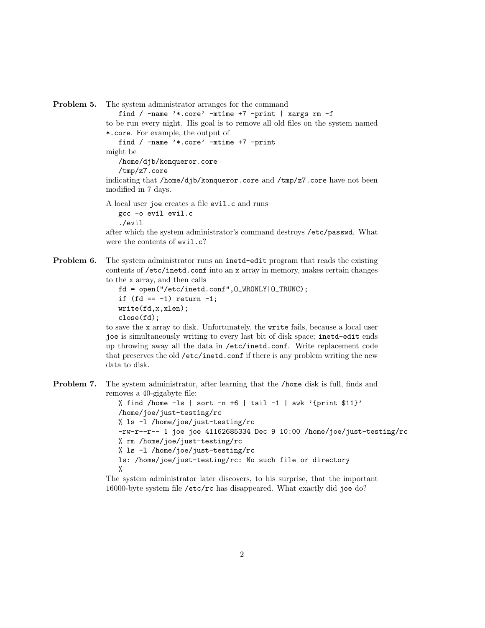Problem 5. The system administrator arranges for the command

find / -name '\*.core' -mtime +7 -print | xargs rm -f to be run every night. His goal is to remove all old files on the system named \*.core. For example, the output of find / -name '\*.core' -mtime +7 -print might be /home/djb/konqueror.core /tmp/z7.core indicating that /home/djb/konqueror.core and /tmp/z7.core have not been modified in 7 days.

A local user joe creates a file evil.c and runs gcc -o evil evil.c ./evil

after which the system administrator's command destroys /etc/passwd. What were the contents of evil.c?

**Problem 6.** The system administrator runs an inetd-edit program that reads the existing contents of /etc/inetd.conf into an x array in memory, makes certain changes to the x array, and then calls

```
fd = open("/etc/inetd.conf",O_WRONLY|O_TRUNC);
if (fd == -1) return -1;
write(fd,x,xlen);
close(fd);
```
to save the x array to disk. Unfortunately, the write fails, because a local user joe is simultaneously writing to every last bit of disk space; inetd-edit ends up throwing away all the data in /etc/inetd.conf. Write replacement code that preserves the old /etc/inetd.conf if there is any problem writing the new data to disk.

Problem 7. The system administrator, after learning that the /home disk is full, finds and removes a 40-gigabyte file:

> % find /home  $-1s$  | sort  $-n+6$  | tail  $-1$  | awk '{print \$11}' /home/joe/just-testing/rc % ls -l /home/joe/just-testing/rc -rw-r--r-- 1 joe joe 41162685334 Dec 9 10:00 /home/joe/just-testing/rc % rm /home/joe/just-testing/rc % ls -l /home/joe/just-testing/rc ls: /home/joe/just-testing/rc: No such file or directory %

The system administrator later discovers, to his surprise, that the important 16000-byte system file /etc/rc has disappeared. What exactly did joe do?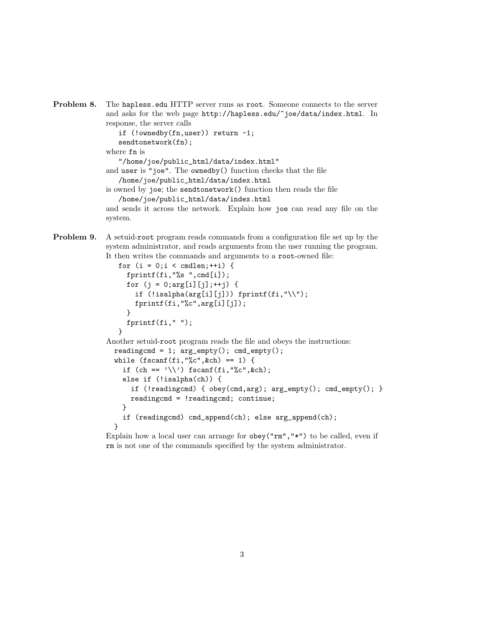```
Problem 8. The hapless.edu HTTP server runs as root. Someone connects to the server
             and asks for the web page http://hapless.edu/~joe/data/index.html. In
             response, the server calls
                 if (!ownedby(fn,user)) return -1;
                 sendtonetwork(fn);
             where fn is
```
"/home/joe/public\_html/data/index.html" and user is "joe". The ownedby() function checks that the file /home/joe/public\_html/data/index.html

is owned by joe; the sendtonetwork() function then reads the file /home/joe/public\_html/data/index.html

and sends it across the network. Explain how joe can read any file on the system.

Problem 9. A setuid-root program reads commands from a configuration file set up by the system administrator, and reads arguments from the user running the program. It then writes the commands and arguments to a root-owned file:

```
for (i = 0; i < \text{cmalen};++i) {
     fprintf(fi,"%s ",cmd[i]);
     for (j = 0; arg[i][j];++) {
       if (!isalpha(arg[i][j])) fprintf(fi, "\|\|);
       fprintf(fi,"%c",arg[i][j]);
     }
     fprintf(fi," ");
   }
Another setuid-root program reads the file and obeys the instructions:
  readingcmd = 1; arg\_empty(); cmd\_empty();
  while (fscan f(fi, "%c", %ch) == 1) {
    if (ch == '\\ \rangle') fscanf(fi, "\&c", \&ch);else if (!isalpha(ch)) {
      if (!readingcmd) { obey(cmd,arg); arg_empty(); cmd_empty(); }
      readingcmd = !readingcmd; continue;
    }
    if (readingcmd) cmd_append(ch); else arg_append(ch);
  }
```
Explain how a local user can arrange for obey("rm","\*") to be called, even if rm is not one of the commands specified by the system administrator.